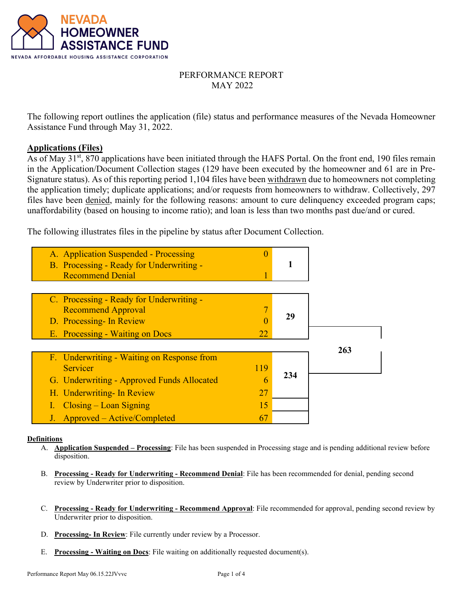

# PERFORMANCE REPORT MAY 2022

The following report outlines the application (file) status and performance measures of the Nevada Homeowner Assistance Fund through May 31, 2022.

## **Applications (Files)**

As of May 31<sup>st</sup>, 870 applications have been initiated through the HAFS Portal. On the front end, 190 files remain in the Application/Document Collection stages (129 have been executed by the homeowner and 61 are in Pre-Signature status). As of this reporting period 1,104 files have been withdrawn due to homeowners not completing the application timely; duplicate applications; and/or requests from homeowners to withdraw. Collectively, 297 files have been denied, mainly for the following reasons: amount to cure delinquency exceeded program caps; unaffordability (based on housing to income ratio); and loan is less than two months past due/and or cured.

The following illustrates files in the pipeline by status after Document Collection.

| A. Application Suspended - Processing<br>B. Processing - Ready for Underwriting -<br><b>Recommend Denial</b> | 0        |     |     |
|--------------------------------------------------------------------------------------------------------------|----------|-----|-----|
| C. Processing - Ready for Underwriting -<br><b>Recommend Approval</b><br>D. Processing- In Review            | 22       | 29  |     |
| E. Processing - Waiting on Docs<br>F. Underwriting - Waiting on Response from<br>Servicer                    | 119      |     | 263 |
| G. Underwriting - Approved Funds Allocated<br>H. Underwriting- In Review                                     | 6<br>27  | 234 |     |
| $\frac{2}{\text{Closing} - \text{Lean Signing}}$<br>J. Approved – Active/Completed                           | 15<br>67 |     |     |

#### **Definitions**

- A. **Application Suspended Processing**: File has been suspended in Processing stage and is pending additional review before disposition.
- B. **Processing Ready for Underwriting Recommend Denial**: File has been recommended for denial, pending second review by Underwriter prior to disposition.
- C. **Processing Ready for Underwriting Recommend Approval**: File recommended for approval, pending second review by Underwriter prior to disposition.
- D. **Processing- In Review**: File currently under review by a Processor.
- E. **Processing Waiting on Docs**: File waiting on additionally requested document(s).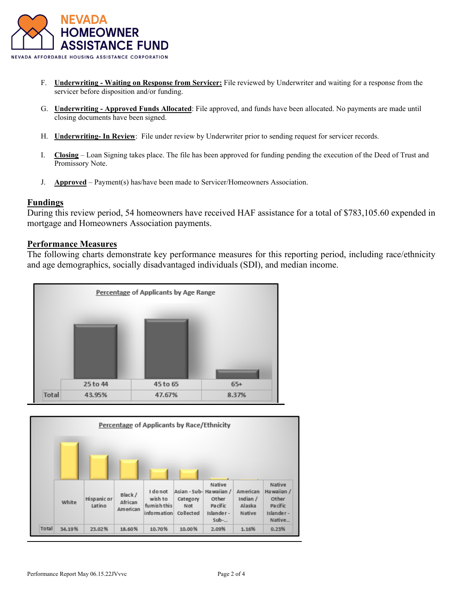

- F. **Underwriting Waiting on Response from Servicer:** File reviewed by Underwriter and waiting for a response from the servicer before disposition and/or funding.
- G. **Underwriting Approved Funds Allocated**: File approved, and funds have been allocated. No payments are made until closing documents have been signed.
- H. **Underwriting- In Review**: File under review by Underwriter prior to sending request for servicer records.
- I. **Closing** Loan Signing takes place. The file has been approved for funding pending the execution of the Deed of Trust and Promissory Note.
- J. **Approved** Payment(s) has/have been made to Servicer/Homeowners Association.

## **Fundings**

During this review period, 54 homeowners have received HAF assistance for a total of \$783,105.60 expended in mortgage and Homeowners Association payments.

## **Performance Measures**

The following charts demonstrate key performance measures for this reporting period, including race/ethnicity and age demographics, socially disadvantaged individuals (SDI), and median income.



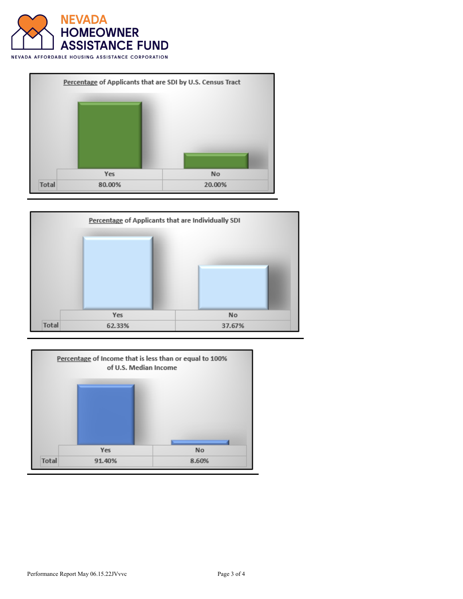